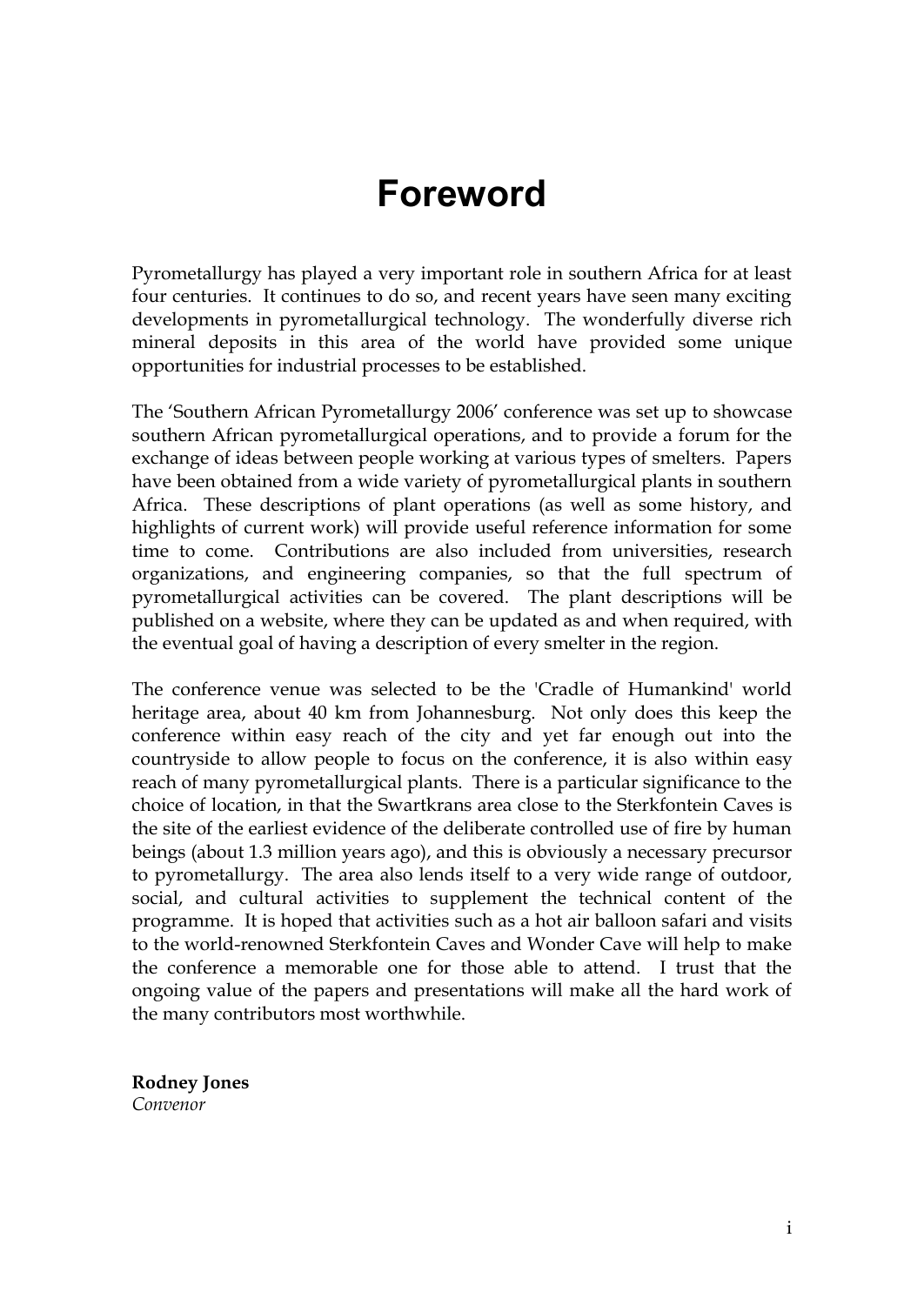## **Foreword**

Pyrometallurgy has played a very important role in southern Africa for at least four centuries. It continues to do so, and recent years have seen many exciting developments in pyrometallurgical technology. The wonderfully diverse rich mineral deposits in this area of the world have provided some unique opportunities for industrial processes to be established.

The 'Southern African Pyrometallurgy 2006' conference was set up to showcase southern African pyrometallurgical operations, and to provide a forum for the exchange of ideas between people working at various types of smelters. Papers have been obtained from a wide variety of pyrometallurgical plants in southern Africa. These descriptions of plant operations (as well as some history, and highlights of current work) will provide useful reference information for some time to come. Contributions are also included from universities, research organizations, and engineering companies, so that the full spectrum of pyrometallurgical activities can be covered. The plant descriptions will be published on a website, where they can be updated as and when required, with the eventual goal of having a description of every smelter in the region.

The conference venue was selected to be the 'Cradle of Humankind' world heritage area, about 40 km from Johannesburg. Not only does this keep the conference within easy reach of the city and yet far enough out into the countryside to allow people to focus on the conference, it is also within easy reach of many pyrometallurgical plants. There is a particular significance to the choice of location, in that the Swartkrans area close to the Sterkfontein Caves is the site of the earliest evidence of the deliberate controlled use of fire by human beings (about 1.3 million years ago), and this is obviously a necessary precursor to pyrometallurgy. The area also lends itself to a very wide range of outdoor, social, and cultural activities to supplement the technical content of the programme. It is hoped that activities such as a hot air balloon safari and visits to the world-renowned Sterkfontein Caves and Wonder Cave will help to make the conference a memorable one for those able to attend. I trust that the ongoing value of the papers and presentations will make all the hard work of the many contributors most worthwhile.

**Rodney Jones** *Convenor*